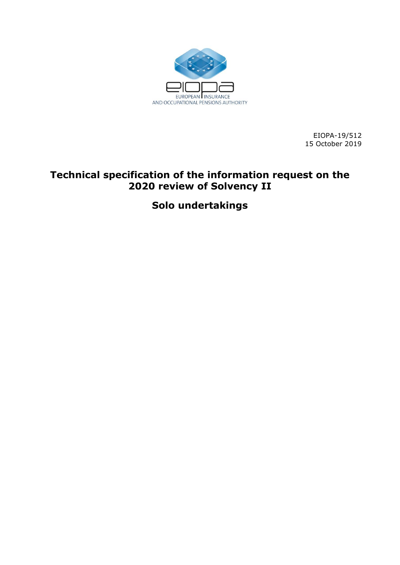

EIOPA-19/512 15 October 2019

# **Technical specification of the information request on the 2020 review of Solvency II**

**Solo undertakings**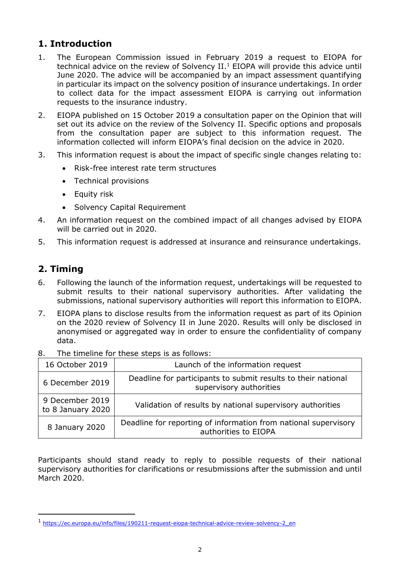# **1. Introduction**

- 1. The European Commission issued in February 2019 a request to EIOPA for technical advice on the review of Solvency II.<sup>1</sup> EIOPA will provide this advice until June 2020. The advice will be accompanied by an impact assessment quantifying in particular its impact on the solvency position of insurance undertakings. In order to collect data for the impact assessment EIOPA is carrying out information requests to the insurance industry.
- 2. EIOPA published on 15 October 2019 a consultation paper on the Opinion that will set out its advice on the review of the Solvency II. Specific options and proposals from the consultation paper are subject to this information request. The information collected will inform EIOPA's final decision on the advice in 2020.
- 3. This information request is about the impact of specific single changes relating to:
	- Risk-free interest rate term structures
	- Technical provisions
	- Equity risk
	- Solvency Capital Requirement
- 4. An information request on the combined impact of all changes advised by EIOPA will be carried out in 2020.
- 5. This information request is addressed at insurance and reinsurance undertakings.

# **2. Timing**

-

- 6. Following the launch of the information request, undertakings will be requested to submit results to their national supervisory authorities. After validating the submissions, national supervisory authorities will report this information to EIOPA.
- 7. EIOPA plans to disclose results from the information request as part of its Opinion on the 2020 review of Solvency II in June 2020. Results will only be disclosed in anonymised or aggregated way in order to ensure the confidentiality of company data.

| 16 October 2019                      | Launch of the information request                                                        |  |  |
|--------------------------------------|------------------------------------------------------------------------------------------|--|--|
| 6 December 2019                      | Deadline for participants to submit results to their national<br>supervisory authorities |  |  |
| 9 December 2019<br>to 8 January 2020 | Validation of results by national supervisory authorities                                |  |  |
| 8 January 2020                       | Deadline for reporting of information from national supervisory<br>authorities to EIOPA  |  |  |

8. The timeline for these steps is as follows:

Participants should stand ready to reply to possible requests of their national supervisory authorities for clarifications or resubmissions after the submission and until March 2020.

<sup>1</sup> [https://ec.europa.eu/info/files/190211-request-eiopa-technical-advice-review-solvency-2\\_en](https://ec.europa.eu/info/files/190211-request-eiopa-technical-advice-review-solvency-2_en)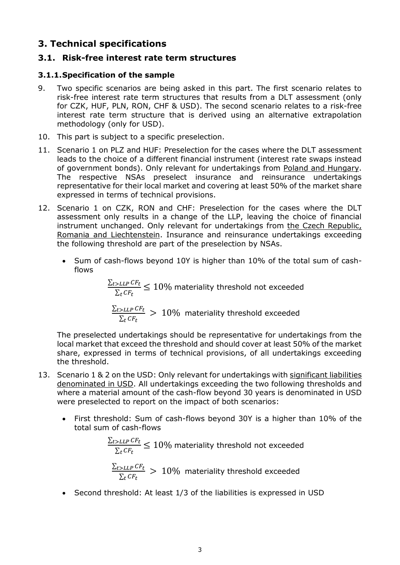# **3. Technical specifications**

## **3.1. Risk-free interest rate term structures**

### **3.1.1.Specification of the sample**

- 9. Two specific scenarios are being asked in this part. The first scenario relates to risk-free interest rate term structures that results from a DLT assessment (only for CZK, HUF, PLN, RON, CHF & USD). The second scenario relates to a risk-free interest rate term structure that is derived using an alternative extrapolation methodology (only for USD).
- 10. This part is subject to a specific preselection.
- 11. Scenario 1 on PLZ and HUF: Preselection for the cases where the DLT assessment leads to the choice of a different financial instrument (interest rate swaps instead of government bonds). Only relevant for undertakings from Poland and Hungary. The respective NSAs preselect insurance and reinsurance undertakings representative for their local market and covering at least 50% of the market share expressed in terms of technical provisions.
- 12. Scenario 1 on CZK, RON and CHF: Preselection for the cases where the DLT assessment only results in a change of the LLP, leaving the choice of financial instrument unchanged. Only relevant for undertakings from the Czech Republic, Romania and Liechtenstein. Insurance and reinsurance undertakings exceeding the following threshold are part of the preselection by NSAs.
	- Sum of cash-flows beyond 10Y is higher than 10% of the total sum of cashflows

$$
\frac{\sum_{t>LLP} CF_t}{\sum_t CF_t} \le 10\%
$$
 materiality threshold not exceeded

$$
\frac{\sum_{t>LLP} CF_t}{\sum_t CF_t} > 10\%
$$
 materiality threshold exceeded

The preselected undertakings should be representative for undertakings from the local market that exceed the threshold and should cover at least 50% of the market share, expressed in terms of technical provisions, of all undertakings exceeding the threshold.

- 13. Scenario 1 & 2 on the USD: Only relevant for undertakings with significant liabilities denominated in USD. All undertakings exceeding the two following thresholds and where a material amount of the cash-flow beyond 30 years is denominated in USD were preselected to report on the impact of both scenarios:
	- First threshold: Sum of cash-flows beyond 30Y is a higher than 10% of the total sum of cash-flows

$$
\frac{\sum_{t>LLP} CF_t}{\sum_t CF_t} \le 10\%
$$
 materiality threshold not exceeded\n
$$
\frac{\sum_{t>LLP} CF_t}{\sum_t CF_t} > 10\%
$$
 materiality threshold exceeded

• Second threshold: At least 1/3 of the liabilities is expressed in USD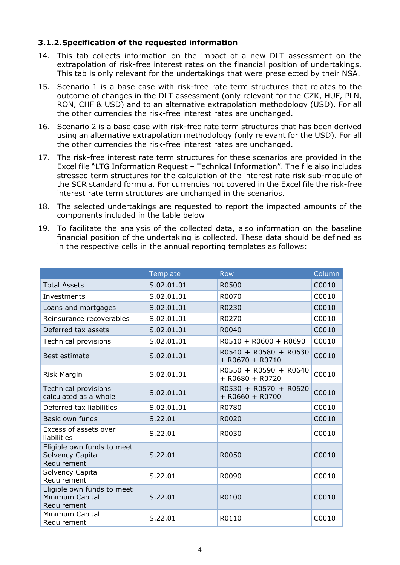### **3.1.2.Specification of the requested information**

- 14. This tab collects information on the impact of a new DLT assessment on the extrapolation of risk-free interest rates on the financial position of undertakings. This tab is only relevant for the undertakings that were preselected by their NSA.
- 15. Scenario 1 is a base case with risk-free rate term structures that relates to the outcome of changes in the DLT assessment (only relevant for the CZK, HUF, PLN, RON, CHF & USD) and to an alternative extrapolation methodology (USD). For all the other currencies the risk-free interest rates are unchanged.
- 16. Scenario 2 is a base case with risk-free rate term structures that has been derived using an alternative extrapolation methodology (only relevant for the USD). For all the other currencies the risk-free interest rates are unchanged.
- 17. The risk-free interest rate term structures for these scenarios are provided in the Excel file "LTG Information Request – Technical Information". The file also includes stressed term structures for the calculation of the interest rate risk sub-module of the SCR standard formula. For currencies not covered in the Excel file the risk-free interest rate term structures are unchanged in the scenarios.
- 18. The selected undertakings are requested to report the impacted amounts of the components included in the table below
- 19. To facilitate the analysis of the collected data, also information on the baseline financial position of the undertaking is collected. These data should be defined as in the respective cells in the annual reporting templates as follows:

|                                                               | Template   | <b>Row</b>                                 | Column |
|---------------------------------------------------------------|------------|--------------------------------------------|--------|
| <b>Total Assets</b>                                           | S.02.01.01 | R0500                                      | C0010  |
| Investments                                                   | S.02.01.01 | R0070                                      | C0010  |
| Loans and mortgages                                           | S.02.01.01 | R0230                                      | C0010  |
| Reinsurance recoverables                                      | S.02.01.01 | R0270                                      | C0010  |
| Deferred tax assets                                           | S.02.01.01 | R0040                                      | C0010  |
| <b>Technical provisions</b>                                   | S.02.01.01 | $R0510 + R0600 + R0690$                    | C0010  |
| Best estimate                                                 | S.02.01.01 | R0540 + R0580 + R0630<br>$+$ R0670 + R0710 | C0010  |
| <b>Risk Margin</b>                                            | S.02.01.01 | R0550 + R0590 + R0640<br>$+$ R0680 + R0720 | C0010  |
| <b>Technical provisions</b><br>calculated as a whole          | S.02.01.01 | R0530 + R0570 + R0620<br>$+$ R0660 + R0700 | C0010  |
| Deferred tax liabilities                                      | S.02.01.01 | R0780                                      | C0010  |
| Basic own funds                                               | S.22.01    | R0020                                      | C0010  |
| Excess of assets over<br>liabilities                          | S.22.01    | R0030                                      | C0010  |
| Eligible own funds to meet<br>Solvency Capital<br>Requirement | S.22.01    | R0050                                      | C0010  |
| Solvency Capital<br>Requirement                               | S.22.01    | R0090                                      | C0010  |
| Eligible own funds to meet<br>Minimum Capital<br>Requirement  | S.22.01    | R0100                                      | C0010  |
| Minimum Capital<br>Requirement                                | S.22.01    | R0110                                      | C0010  |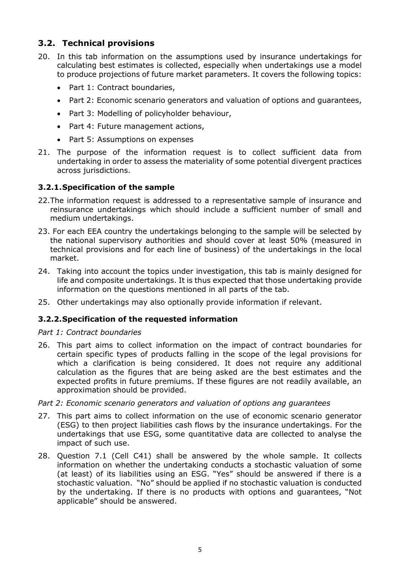# **3.2. Technical provisions**

- 20. In this tab information on the assumptions used by insurance undertakings for calculating best estimates is collected, especially when undertakings use a model to produce projections of future market parameters. It covers the following topics:
	- Part 1: Contract boundaries,
	- Part 2: Economic scenario generators and valuation of options and guarantees,
	- Part 3: Modelling of policyholder behaviour,
	- Part 4: Future management actions,
	- Part 5: Assumptions on expenses
- 21. The purpose of the information request is to collect sufficient data from undertaking in order to assess the materiality of some potential divergent practices across jurisdictions.

### **3.2.1.Specification of the sample**

- 22.The information request is addressed to a representative sample of insurance and reinsurance undertakings which should include a sufficient number of small and medium undertakings.
- 23. For each EEA country the undertakings belonging to the sample will be selected by the national supervisory authorities and should cover at least 50% (measured in technical provisions and for each line of business) of the undertakings in the local market.
- 24. Taking into account the topics under investigation, this tab is mainly designed for life and composite undertakings. It is thus expected that those undertaking provide information on the questions mentioned in all parts of the tab.
- 25. Other undertakings may also optionally provide information if relevant.

### **3.2.2.Specification of the requested information**

#### *Part 1: Contract boundaries*

26. This part aims to collect information on the impact of contract boundaries for certain specific types of products falling in the scope of the legal provisions for which a clarification is being considered. It does not require any additional calculation as the figures that are being asked are the best estimates and the expected profits in future premiums. If these figures are not readily available, an approximation should be provided.

*Part 2: Economic scenario generators and valuation of options ang guarantees*

- 27. This part aims to collect information on the use of economic scenario generator (ESG) to then project liabilities cash flows by the insurance undertakings. For the undertakings that use ESG, some quantitative data are collected to analyse the impact of such use.
- 28. Question 7.1 (Cell C41) shall be answered by the whole sample. It collects information on whether the undertaking conducts a stochastic valuation of some (at least) of its liabilities using an ESG. "Yes" should be answered if there is a stochastic valuation. "No" should be applied if no stochastic valuation is conducted by the undertaking. If there is no products with options and guarantees, "Not applicable" should be answered.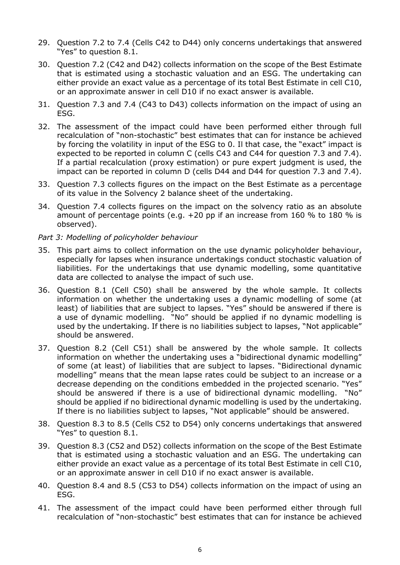- 29. Question 7.2 to 7.4 (Cells C42 to D44) only concerns undertakings that answered "Yes" to question 8.1.
- 30. Question 7.2 (C42 and D42) collects information on the scope of the Best Estimate that is estimated using a stochastic valuation and an ESG. The undertaking can either provide an exact value as a percentage of its total Best Estimate in cell C10, or an approximate answer in cell D10 if no exact answer is available.
- 31. Question 7.3 and 7.4 (C43 to D43) collects information on the impact of using an ESG.
- 32. The assessment of the impact could have been performed either through full recalculation of "non-stochastic" best estimates that can for instance be achieved by forcing the volatility in input of the ESG to 0. Il that case, the "exact" impact is expected to be reported in column C (cells C43 and C44 for question 7.3 and 7.4). If a partial recalculation (proxy estimation) or pure expert judgment is used, the impact can be reported in column D (cells D44 and D44 for question 7.3 and 7.4).
- 33. Question 7.3 collects figures on the impact on the Best Estimate as a percentage of its value in the Solvency 2 balance sheet of the undertaking.
- 34. Question 7.4 collects figures on the impact on the solvency ratio as an absolute amount of percentage points (e.g. +20 pp if an increase from 160 % to 180 % is observed).

### *Part 3: Modelling of policyholder behaviour*

- 35. This part aims to collect information on the use dynamic policyholder behaviour, especially for lapses when insurance undertakings conduct stochastic valuation of liabilities. For the undertakings that use dynamic modelling, some quantitative data are collected to analyse the impact of such use.
- 36. Question 8.1 (Cell C50) shall be answered by the whole sample. It collects information on whether the undertaking uses a dynamic modelling of some (at least) of liabilities that are subject to lapses. "Yes" should be answered if there is a use of dynamic modelling. "No" should be applied if no dynamic modelling is used by the undertaking. If there is no liabilities subject to lapses, "Not applicable" should be answered.
- 37. Question 8.2 (Cell C51) shall be answered by the whole sample. It collects information on whether the undertaking uses a "bidirectional dynamic modelling" of some (at least) of liabilities that are subject to lapses. "Bidirectional dynamic modelling" means that the mean lapse rates could be subject to an increase or a decrease depending on the conditions embedded in the projected scenario. "Yes" should be answered if there is a use of bidirectional dynamic modelling. "No" should be applied if no bidirectional dynamic modelling is used by the undertaking. If there is no liabilities subject to lapses, "Not applicable" should be answered.
- 38. Question 8.3 to 8.5 (Cells C52 to D54) only concerns undertakings that answered "Yes" to question 8.1.
- 39. Question 8.3 (C52 and D52) collects information on the scope of the Best Estimate that is estimated using a stochastic valuation and an ESG. The undertaking can either provide an exact value as a percentage of its total Best Estimate in cell C10, or an approximate answer in cell D10 if no exact answer is available.
- 40. Question 8.4 and 8.5 (C53 to D54) collects information on the impact of using an ESG.
- 41. The assessment of the impact could have been performed either through full recalculation of "non-stochastic" best estimates that can for instance be achieved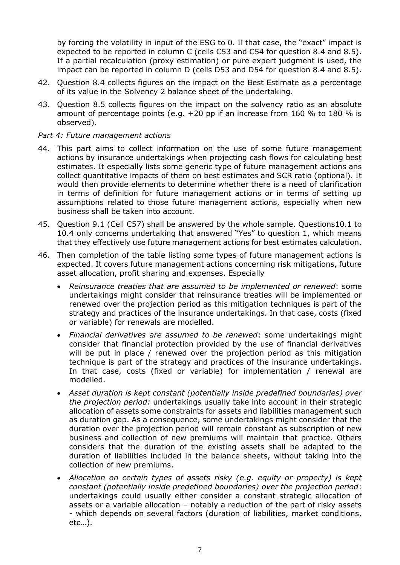by forcing the volatility in input of the ESG to 0. Il that case, the "exact" impact is expected to be reported in column C (cells C53 and C54 for question 8.4 and 8.5). If a partial recalculation (proxy estimation) or pure expert judgment is used, the impact can be reported in column D (cells D53 and D54 for question 8.4 and 8.5).

- 42. Question 8.4 collects figures on the impact on the Best Estimate as a percentage of its value in the Solvency 2 balance sheet of the undertaking.
- 43. Question 8.5 collects figures on the impact on the solvency ratio as an absolute amount of percentage points (e.g. +20 pp if an increase from 160 % to 180 % is observed).

### *Part 4: Future management actions*

- 44. This part aims to collect information on the use of some future management actions by insurance undertakings when projecting cash flows for calculating best estimates. It especially lists some generic type of future management actions ans collect quantitative impacts of them on best estimates and SCR ratio (optional). It would then provide elements to determine whether there is a need of clarification in terms of definition for future management actions or in terms of setting up assumptions related to those future management actions, especially when new business shall be taken into account.
- 45. Question 9.1 (Cell C57) shall be answered by the whole sample. Questions10.1 to 10.4 only concerns undertaking that answered "Yes" to question 1, which means that they effectively use future management actions for best estimates calculation.
- 46. Then completion of the table listing some types of future management actions is expected. It covers future management actions concerning risk mitigations, future asset allocation, profit sharing and expenses. Especially
	- *Reinsurance treaties that are assumed to be implemented or renewed*: some undertakings might consider that reinsurance treaties will be implemented or renewed over the projection period as this mitigation techniques is part of the strategy and practices of the insurance undertakings. In that case, costs (fixed or variable) for renewals are modelled.
	- *Financial derivatives are assumed to be renewed*: some undertakings might consider that financial protection provided by the use of financial derivatives will be put in place / renewed over the projection period as this mitigation technique is part of the strategy and practices of the insurance undertakings. In that case, costs (fixed or variable) for implementation / renewal are modelled.
	- *Asset duration is kept constant (potentially inside predefined boundaries) over the projection period:* undertakings usually take into account in their strategic allocation of assets some constraints for assets and liabilities management such as duration gap. As a consequence, some undertakings might consider that the duration over the projection period will remain constant as subscription of new business and collection of new premiums will maintain that practice. Others considers that the duration of the existing assets shall be adapted to the duration of liabilities included in the balance sheets, without taking into the collection of new premiums.
	- *Allocation on certain types of assets risky (e.g. equity or property) is kept constant (potentially inside predefined boundaries) over the projection period*: undertakings could usually either consider a constant strategic allocation of assets or a variable allocation – notably a reduction of the part of risky assets - which depends on several factors (duration of liabilities, market conditions, etc…).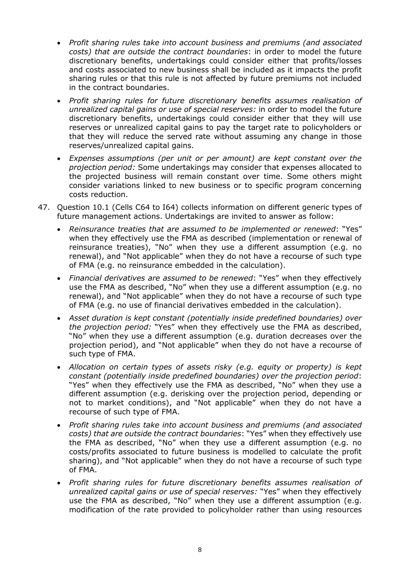- *Profit sharing rules take into account business and premiums (and associated costs) that are outside the contract boundaries*: in order to model the future discretionary benefits, undertakings could consider either that profits/losses and costs associated to new business shall be included as it impacts the profit sharing rules or that this rule is not affected by future premiums not included in the contract boundaries.
- *Profit sharing rules for future discretionary benefits assumes realisation of unrealized capital gains or use of special reserves:* in order to model the future discretionary benefits, undertakings could consider either that they will use reserves or unrealized capital gains to pay the target rate to policyholders or that they will reduce the served rate without assuming any change in those reserves/unrealized capital gains.
- *Expenses assumptions (per unit or per amount) are kept constant over the projection period:* Some undertakings may consider that expenses allocated to the projected business will remain constant over time. Some others might consider variations linked to new business or to specific program concerning costs reduction.
- 47. Question 10.1 (Cells C64 to I64) collects information on different generic types of future management actions. Undertakings are invited to answer as follow:
	- *Reinsurance treaties that are assumed to be implemented or renewed*: "Yes" when they effectively use the FMA as described (implementation or renewal of reinsurance treaties), "No" when they use a different assumption (e.g. no renewal), and "Not applicable" when they do not have a recourse of such type of FMA (e.g. no reinsurance embedded in the calculation).
	- *Financial derivatives are assumed to be renewed*: "Yes" when they effectively use the FMA as described, "No" when they use a different assumption (e.g. no renewal), and "Not applicable" when they do not have a recourse of such type of FMA (e.g. no use of financial derivatives embedded in the calculation).
	- *Asset duration is kept constant (potentially inside predefined boundaries) over the projection period:* "Yes" when they effectively use the FMA as described, "No" when they use a different assumption (e.g. duration decreases over the projection period), and "Not applicable" when they do not have a recourse of such type of FMA.
	- *Allocation on certain types of assets risky (e.g. equity or property) is kept constant (potentially inside predefined boundaries) over the projection period*: "Yes" when they effectively use the FMA as described, "No" when they use a different assumption (e.g. derisking over the projection period, depending or not to market conditions), and "Not applicable" when they do not have a recourse of such type of FMA.
	- *Profit sharing rules take into account business and premiums (and associated costs) that are outside the contract boundaries*: "Yes" when they effectively use the FMA as described, "No" when they use a different assumption (e.g. no costs/profits associated to future business is modelled to calculate the profit sharing), and "Not applicable" when they do not have a recourse of such type of FMA.
	- *Profit sharing rules for future discretionary benefits assumes realisation of unrealized capital gains or use of special reserves:* "Yes" when they effectively use the FMA as described, "No" when they use a different assumption (e.g. modification of the rate provided to policyholder rather than using resources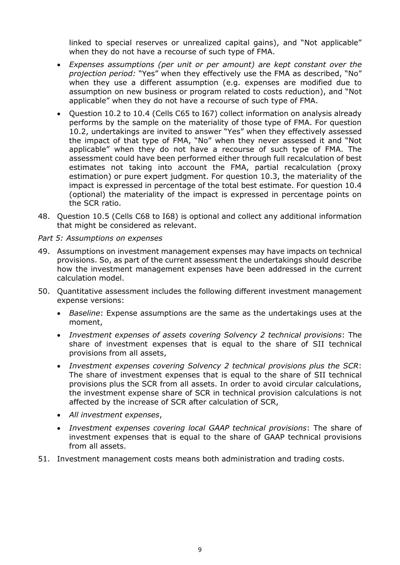linked to special reserves or unrealized capital gains), and "Not applicable" when they do not have a recourse of such type of FMA.

- *Expenses assumptions (per unit or per amount) are kept constant over the projection period:* "Yes" when they effectively use the FMA as described, "No" when they use a different assumption (e.g. expenses are modified due to assumption on new business or program related to costs reduction), and "Not applicable" when they do not have a recourse of such type of FMA.
- Question 10.2 to 10.4 (Cells C65 to I67) collect information on analysis already performs by the sample on the materiality of those type of FMA. For question 10.2, undertakings are invited to answer "Yes" when they effectively assessed the impact of that type of FMA, "No" when they never assessed it and "Not applicable" when they do not have a recourse of such type of FMA. The assessment could have been performed either through full recalculation of best estimates not taking into account the FMA, partial recalculation (proxy estimation) or pure expert judgment. For question 10.3, the materiality of the impact is expressed in percentage of the total best estimate. For question 10.4 (optional) the materiality of the impact is expressed in percentage points on the SCR ratio.
- 48. Question 10.5 (Cells C68 to I68) is optional and collect any additional information that might be considered as relevant.

### *Part 5: Assumptions on expenses*

- 49. Assumptions on investment management expenses may have impacts on technical provisions. So, as part of the current assessment the undertakings should describe how the investment management expenses have been addressed in the current calculation model.
- 50. Quantitative assessment includes the following different investment management expense versions:
	- *Baseline*: Expense assumptions are the same as the undertakings uses at the moment,
	- *Investment expenses of assets covering Solvency 2 technical provisions*: The share of investment expenses that is equal to the share of SII technical provisions from all assets,
	- *Investment expenses covering Solvency 2 technical provisions plus the SCR*: The share of investment expenses that is equal to the share of SII technical provisions plus the SCR from all assets. In order to avoid circular calculations, the investment expense share of SCR in technical provision calculations is not affected by the increase of SCR after calculation of SCR,
	- *All investment expenses*,
	- *Investment expenses covering local GAAP technical provisions*: The share of investment expenses that is equal to the share of GAAP technical provisions from all assets.
- 51. Investment management costs means both administration and trading costs.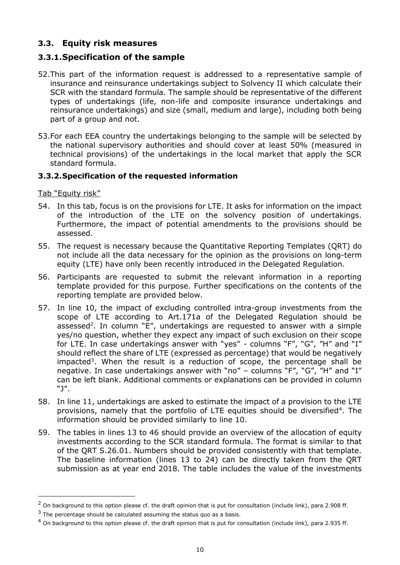# **3.3. Equity risk measures**

# **3.3.1.Specification of the sample**

- 52.This part of the information request is addressed to a representative sample of insurance and reinsurance undertakings subject to Solvency II which calculate their SCR with the standard formula. The sample should be representative of the different types of undertakings (life, non-life and composite insurance undertakings and reinsurance undertakings) and size (small, medium and large), including both being part of a group and not.
- 53.For each EEA country the undertakings belonging to the sample will be selected by the national supervisory authorities and should cover at least 50% (measured in technical provisions) of the undertakings in the local market that apply the SCR standard formula.

### **3.3.2.Specification of the requested information**

Tab "Equity risk"

-

- 54. In this tab, focus is on the provisions for LTE. It asks for information on the impact of the introduction of the LTE on the solvency position of undertakings. Furthermore, the impact of potential amendments to the provisions should be assessed.
- 55. The request is necessary because the Quantitative Reporting Templates (QRT) do not include all the data necessary for the opinion as the provisions on long-term equity (LTE) have only been recently introduced in the Delegated Regulation.
- 56. Participants are requested to submit the relevant information in a reporting template provided for this purpose. Further specifications on the contents of the reporting template are provided below.
- 57. In line 10, the impact of excluding controlled intra-group investments from the scope of LTE according to Art.171a of the Delegated Regulation should be assessed<sup>2</sup>. In column "E", undertakings are requested to answer with a simple yes/no question, whether they expect any impact of such exclusion on their scope for LTE. In case undertakings answer with "yes" - columns "F", "G", "H" and "I" should reflect the share of LTE (expressed as percentage) that would be negatively impacted<sup>3</sup>. When the result is a reduction of scope, the percentage shall be negative. In case undertakings answer with "no" - columns "F", "G", "H" and "I" can be left blank. Additional comments or explanations can be provided in column "J".
- 58. In line 11, undertakings are asked to estimate the impact of a provision to the LTE provisions, namely that the portfolio of LTE equities should be diversified<sup>4</sup>. The information should be provided similarly to line 10.
- 59. The tables in lines 13 to 46 should provide an overview of the allocation of equity investments according to the SCR standard formula. The format is similar to that of the QRT S.26.01. Numbers should be provided consistently with that template. The baseline information (lines 13 to 24) can be directly taken from the QRT submission as at year end 2018. The table includes the value of the investments

 $2$  On background to this option please cf. the draft opinion that is put for consultation (include link), para 2.908 ff.

 $3$  The percentage should be calculated assuming the status quo as a basis.

 $4$  On background to this option please cf. the draft opinion that is put for consultation (include link), para 2.935 ff.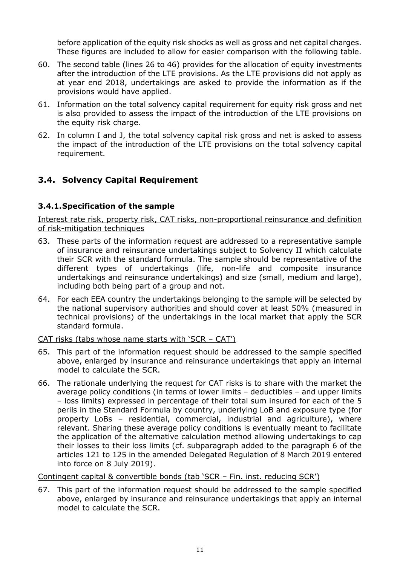before application of the equity risk shocks as well as gross and net capital charges. These figures are included to allow for easier comparison with the following table.

- 60. The second table (lines 26 to 46) provides for the allocation of equity investments after the introduction of the LTE provisions. As the LTE provisions did not apply as at year end 2018, undertakings are asked to provide the information as if the provisions would have applied.
- 61. Information on the total solvency capital requirement for equity risk gross and net is also provided to assess the impact of the introduction of the LTE provisions on the equity risk charge.
- 62. In column I and J, the total solvency capital risk gross and net is asked to assess the impact of the introduction of the LTE provisions on the total solvency capital requirement.

# **3.4. Solvency Capital Requirement**

### **3.4.1.Specification of the sample**

Interest rate risk, property risk, CAT risks, non-proportional reinsurance and definition of risk-mitigation techniques

- 63. These parts of the information request are addressed to a representative sample of insurance and reinsurance undertakings subject to Solvency II which calculate their SCR with the standard formula. The sample should be representative of the different types of undertakings (life, non-life and composite insurance undertakings and reinsurance undertakings) and size (small, medium and large), including both being part of a group and not.
- 64. For each EEA country the undertakings belonging to the sample will be selected by the national supervisory authorities and should cover at least 50% (measured in technical provisions) of the undertakings in the local market that apply the SCR standard formula.

#### CAT risks (tabs whose name starts with 'SCR – CAT')

- 65. This part of the information request should be addressed to the sample specified above, enlarged by insurance and reinsurance undertakings that apply an internal model to calculate the SCR.
- 66. The rationale underlying the request for CAT risks is to share with the market the average policy conditions (in terms of lower limits – deductibles – and upper limits – loss limits) expressed in percentage of their total sum insured for each of the 5 perils in the Standard Formula by country, underlying LoB and exposure type (for property LoBs – residential, commercial, industrial and agriculture), where relevant. Sharing these average policy conditions is eventually meant to facilitate the application of the alternative calculation method allowing undertakings to cap their losses to their loss limits (cf. subparagraph added to the paragraph 6 of the articles 121 to 125 in the amended Delegated Regulation of 8 March 2019 entered into force on 8 July 2019).

Contingent capital & convertible bonds (tab 'SCR – Fin. inst. reducing SCR')

67. This part of the information request should be addressed to the sample specified above, enlarged by insurance and reinsurance undertakings that apply an internal model to calculate the SCR.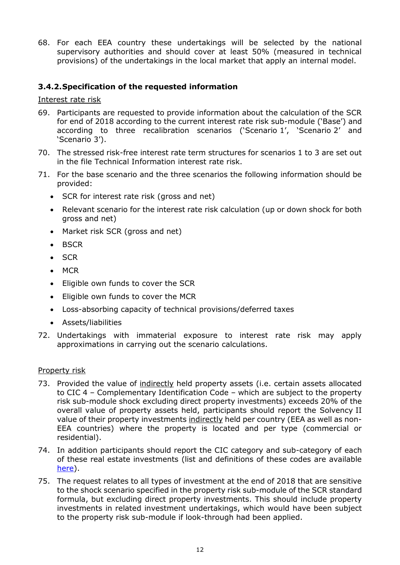68. For each EEA country these undertakings will be selected by the national supervisory authorities and should cover at least 50% (measured in technical provisions) of the undertakings in the local market that apply an internal model.

## **3.4.2.Specification of the requested information**

Interest rate risk

- 69. Participants are requested to provide information about the calculation of the SCR for end of 2018 according to the current interest rate risk sub-module ('Base') and according to three recalibration scenarios ('Scenario 1', 'Scenario 2' and 'Scenario 3').
- 70. The stressed risk-free interest rate term structures for scenarios 1 to 3 are set out in the file Technical Information interest rate risk.
- 71. For the base scenario and the three scenarios the following information should be provided:
	- SCR for interest rate risk (gross and net)
	- Relevant scenario for the interest rate risk calculation (up or down shock for both gross and net)
	- Market risk SCR (gross and net)
	- BSCR
	- SCR
	- $-MCR$
	- Eligible own funds to cover the SCR
	- Eligible own funds to cover the MCR
	- Loss-absorbing capacity of technical provisions/deferred taxes
	- Assets/liabilities
- 72. Undertakings with immaterial exposure to interest rate risk may apply approximations in carrying out the scenario calculations.

#### Property risk

- 73. Provided the value of indirectly held property assets (i.e. certain assets allocated to CIC 4 – Complementary Identification Code – which are subject to the property risk sub-module shock excluding direct property investments) exceeds 20% of the overall value of property assets held, participants should report the Solvency II value of their property investments indirectly held per country (EEA as well as non-EEA countries) where the property is located and per type (commercial or residential).
- 74. In addition participants should report the CIC category and sub-category of each of these real estate investments (list and definitions of these codes are available [here\)](https://eiopa.europa.eu/Publications/Consultations/EIOPA-14-052-Annex_IV_V_-_CIC_table.xls).
- 75. The request relates to all types of investment at the end of 2018 that are sensitive to the shock scenario specified in the property risk sub-module of the SCR standard formula, but excluding direct property investments. This should include property investments in related investment undertakings, which would have been subject to the property risk sub-module if look-through had been applied.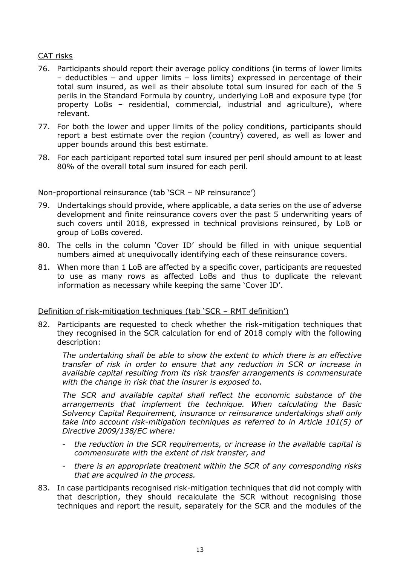### CAT risks

- 76. Participants should report their average policy conditions (in terms of lower limits – deductibles – and upper limits – loss limits) expressed in percentage of their total sum insured, as well as their absolute total sum insured for each of the 5 perils in the Standard Formula by country, underlying LoB and exposure type (for property LoBs – residential, commercial, industrial and agriculture), where relevant.
- 77. For both the lower and upper limits of the policy conditions, participants should report a best estimate over the region (country) covered, as well as lower and upper bounds around this best estimate.
- 78. For each participant reported total sum insured per peril should amount to at least 80% of the overall total sum insured for each peril.

#### Non-proportional reinsurance (tab 'SCR – NP reinsurance')

- 79. Undertakings should provide, where applicable, a data series on the use of adverse development and finite reinsurance covers over the past 5 underwriting years of such covers until 2018, expressed in technical provisions reinsured, by LoB or group of LoBs covered.
- 80. The cells in the column 'Cover ID' should be filled in with unique sequential numbers aimed at unequivocally identifying each of these reinsurance covers.
- 81. When more than 1 LoB are affected by a specific cover, participants are requested to use as many rows as affected LoBs and thus to duplicate the relevant information as necessary while keeping the same 'Cover ID'.

#### Definition of risk-mitigation techniques (tab 'SCR – RMT definition')

82. Participants are requested to check whether the risk-mitigation techniques that they recognised in the SCR calculation for end of 2018 comply with the following description:

*The undertaking shall be able to show the extent to which there is an effective transfer of risk in order to ensure that any reduction in SCR or increase in available capital resulting from its risk transfer arrangements is commensurate with the change in risk that the insurer is exposed to.*

*The SCR and available capital shall reflect the economic substance of the arrangements that implement the technique. When calculating the Basic Solvency Capital Requirement, insurance or reinsurance undertakings shall only take into account risk-mitigation techniques as referred to in Article 101(5) of Directive 2009/138/EC where:*

- *the reduction in the SCR requirements, or increase in the available capital is commensurate with the extent of risk transfer, and*
- *there is an appropriate treatment within the SCR of any corresponding risks that are acquired in the process.*
- 83. In case participants recognised risk-mitigation techniques that did not comply with that description, they should recalculate the SCR without recognising those techniques and report the result, separately for the SCR and the modules of the